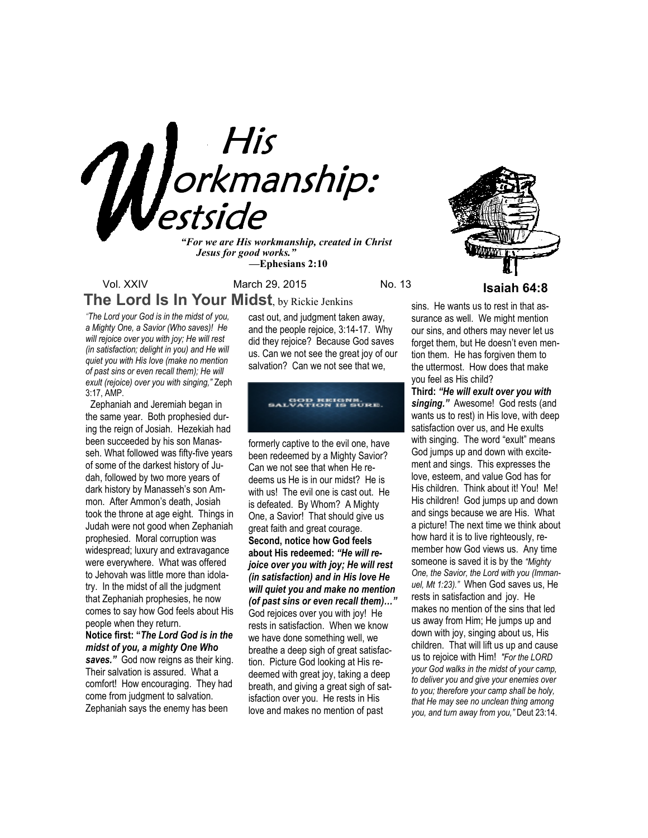

*"For we are His workmanship, created in Christ Jesus for good works." —***Ephesians 2:10**

Vol. XXIV March 29, 2015 No. 13 **Isaiah 64:8 The Lord Is In Your Midst**, by Rickie Jenkins

*"The Lord your God is in the midst of you, a Mighty One, a Savior (Who saves)! He will rejoice over you with joy; He will rest (in satisfaction; delight in you) and He will quiet you with His love (make no mention of past sins or even recall them); He will exult (rejoice) over you with singing,"* Zeph 3:17, AMP.

 Zephaniah and Jeremiah began in the same year. Both prophesied during the reign of Josiah. Hezekiah had been succeeded by his son Manasseh. What followed was fifty-five years of some of the darkest history of Judah, followed by two more years of dark history by Manasseh's son Ammon. After Ammon's death, Josiah took the throne at age eight. Things in Judah were not good when Zephaniah prophesied. Moral corruption was widespread; luxury and extravagance were everywhere. What was offered to Jehovah was little more than idolatry. In the midst of all the judgment that Zephaniah prophesies, he now comes to say how God feels about His people when they return.

**Notice first: "***The Lord God is in the midst of you, a mighty One Who*  saves." God now reigns as their king. Their salvation is assured. What a comfort! How encouraging. They had come from judgment to salvation. Zephaniah says the enemy has been

cast out, and judgment taken away, and the people rejoice, 3:14-17. Why did they rejoice? Because God saves us. Can we not see the great joy of our salvation? Can we not see that we,

# GOD REIGNS.<br>GALVATION IS SURE.

formerly captive to the evil one, have been redeemed by a Mighty Savior? Can we not see that when He redeems us He is in our midst? He is with us! The evil one is cast out. He is defeated. By Whom? A Mighty One, a Savior! That should give us great faith and great courage. **Second, notice how God feels about His redeemed:** *"He will rejoice over you with joy; He will rest (in satisfaction) and in His love He will quiet you and make no mention (of past sins or even recall them)…"* God rejoices over you with joy! He rests in satisfaction. When we know we have done something well, we breathe a deep sigh of great satisfaction. Picture God looking at His redeemed with great joy, taking a deep breath, and giving a great sigh of satisfaction over you. He rests in His love and makes no mention of past

sins. He wants us to rest in that assurance as well. We might mention our sins, and others may never let us forget them, but He doesn't even mention them. He has forgiven them to the uttermost. How does that make you feel as His child?

**Third:** *"He will exult over you with*  singing." Awesome! God rests (and wants us to rest) in His love, with deep satisfaction over us, and He exults with singing. The word "exult" means God jumps up and down with excitement and sings. This expresses the love, esteem, and value God has for His children. Think about it! You! Me! His children! God jumps up and down and sings because we are His. What a picture! The next time we think about how hard it is to live righteously, remember how God views us. Any time someone is saved it is by the *"Mighty One, the Savior, the Lord with you (Immanuel, Mt 1:23)."* When God saves us, He rests in satisfaction and joy. He makes no mention of the sins that led us away from Him; He jumps up and down with joy, singing about us, His children. That will lift us up and cause us to rejoice with Him! *"For the LORD your God walks in the midst of your camp, to deliver you and give your enemies over to you; therefore your camp shall be holy, that He may see no unclean thing among you, and turn away from you,"* Deut 23:14.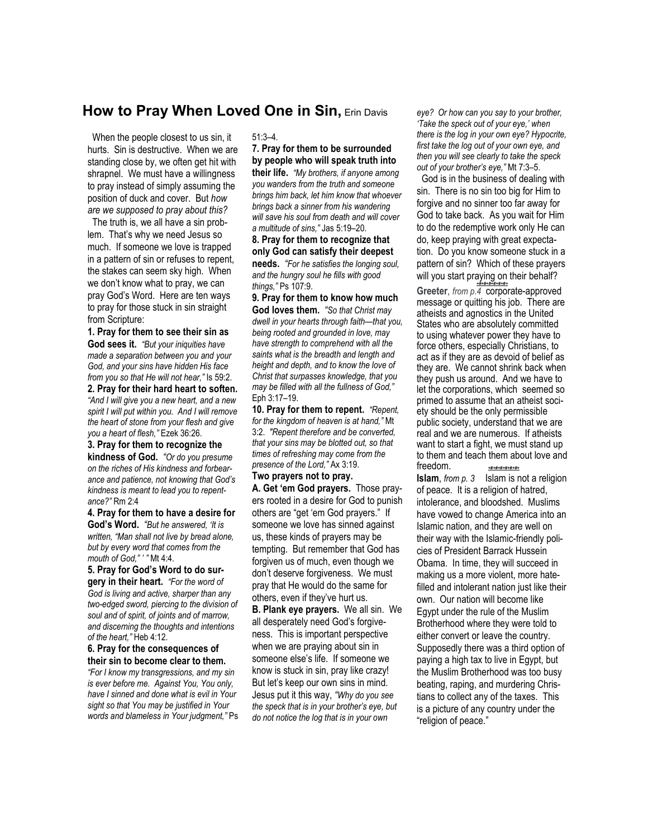## **How to Pray When Loved One in Sin,** Erin Davis

 When the people closest to us sin, it hurts. Sin is destructive. When we are standing close by, we often get hit with shrapnel. We must have a willingness to pray instead of simply assuming the position of duck and cover. But *how are we supposed to pray about this?*

 The truth is, we all have a sin problem. That's why we need Jesus so much. If someone we love is trapped in a pattern of sin or refuses to repent, the stakes can seem sky high. When we don't know what to pray, we can pray God's Word. Here are ten ways to pray for those stuck in sin straight from Scripture:

**1. Pray for them to see their sin as God sees it.** *"But your iniquities have made a separation between you and your God, and your sins have hidden His face from you so that He will not hear,"* Is 59:2.

**2. Pray for their hard heart to soften.**  *"And I will give you a new heart, and a new spirit I will put within you. And I will remove the heart of stone from your flesh and give you a heart of flesh,"* Ezek 36:26.

**3. Pray for them to recognize the kindness of God.** *"Or do you presume on the riches of His kindness and forbearance and patience, not knowing that God's kindness is meant to lead you to repentance?"* Rm 2:4

**4. Pray for them to have a desire for God's Word.** *"But he answered, 'It is written, "Man shall not live by bread alone, but by every word that comes from the mouth of God," ' "* Mt 4:4.

**5. Pray for God's Word to do surgery in their heart.** *"For the word of God is living and active, sharper than any two-edged sword, piercing to the division of soul and of spirit, of joints and of marrow, and discerning the thoughts and intentions of the heart,"* Heb 4:12.

**6. Pray for the consequences of their sin to become clear to them.** 

*"For I know my transgressions, and my sin is ever before me. Against You, You only, have I sinned and done what is evil in Your sight so that You may be justified in Your words and blameless in Your judgment,"* Ps

#### 51:3–4.

**7. Pray for them to be surrounded by people who will speak truth into their life.** *"My brothers, if anyone among you wanders from the truth and someone brings him back, let him know that whoever brings back a sinner from his wandering will save his soul from death and will cover a multitude of sins,"* Jas 5:19–20.

**8. Pray for them to recognize that only God can satisfy their deepest needs.** *"For he satisfies the longing soul, and the hungry soul he fills with good things,"* Ps 107:9.

**9. Pray for them to know how much God loves them.** *"So that Christ may dwell in your hearts through faith—that you, being rooted and grounded in love, may have strength to comprehend with all the saints what is the breadth and length and height and depth, and to know the love of Christ that surpasses knowledge, that you may be filled with all the fullness of God,"* Eph 3:17–19.

**10. Pray for them to repent.** *"Repent, for the kingdom of heaven is at hand,"* Mt 3:2. *"Repent therefore and be converted, that your sins may be blotted out, so that times of refreshing may come from the presence of the Lord,"* Ax 3:19.

#### **Two prayers not to pray.**

**A. Get 'em God prayers.** Those prayers rooted in a desire for God to punish others are "get 'em God prayers." If someone we love has sinned against us, these kinds of prayers may be tempting. But remember that God has forgiven us of much, even though we don't deserve forgiveness. We must pray that He would do the same for others, even if they've hurt us.

**B. Plank eye prayers.** We all sin. We all desperately need God's forgiveness. This is important perspective when we are praying about sin in someone else's life. If someone we know is stuck in sin, pray like crazy! But let's keep our own sins in mind. Jesus put it this way, *"Why do you see the speck that is in your brother's eye, but do not notice the log that is in your own* 

*eye? Or how can you say to your brother, 'Take the speck out of your eye,' when there is the log in your own eye? Hypocrite, first take the log out of your own eye, and then you will see clearly to take the speck out of your brother's eye,"* Mt 7:3–5.

 God is in the business of dealing with sin. There is no sin too big for Him to forgive and no sinner too far away for God to take back. As you wait for Him to do the redemptive work only He can do, keep praying with great expectation. Do you know someone stuck in a pattern of sin? Which of these prayers will you start praying on their behalf?

*+#+#+#+#+#+#+* **Greeter**, *from p.4* corporate-approved message or quitting his job. There are atheists and agnostics in the United States who are absolutely committed to using whatever power they have to force others, especially Christians, to act as if they are as devoid of belief as they are. We cannot shrink back when they push us around. And we have to let the corporations, which seemed so primed to assume that an atheist society should be the only permissible public society, understand that we are real and we are numerous. If atheists want to start a fight, we must stand up to them and teach them about love and freedom. *+#+#+#+#+#+#+*

**Islam**, *from p. 3* Islam is not a religion of peace. It is a religion of hatred, intolerance, and bloodshed. Muslims have vowed to change America into an Islamic nation, and they are well on their way with the Islamic-friendly policies of President Barrack Hussein Obama. In time, they will succeed in making us a more violent, more hatefilled and intolerant nation just like their own. Our nation will become like Egypt under the rule of the Muslim Brotherhood where they were told to either convert or leave the country. Supposedly there was a third option of paying a high tax to live in Egypt, but the Muslim Brotherhood was too busy beating, raping, and murdering Christians to collect any of the taxes. This is a picture of any country under the "religion of peace."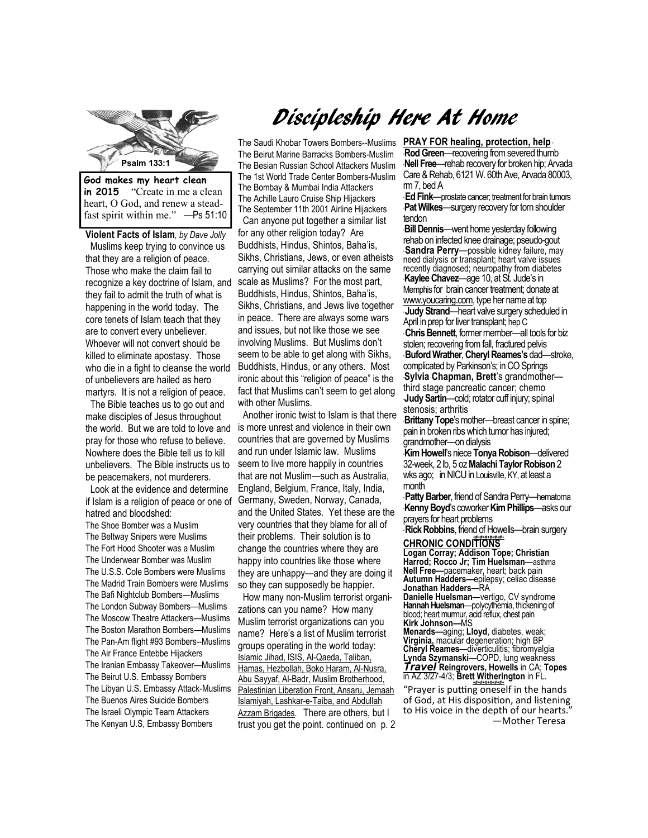

**in 2015** "Create in me a clean heart, O God, and renew a steadfast spirit within me." —Ps 51:10

**Violent Facts of Islam***, by Dave Jolly*  Muslims keep trying to convince us that they are a religion of peace. Those who make the claim fail to they fail to admit the truth of what is happening in the world today. The core tenets of Islam teach that they are to convert every unbeliever. Whoever will not convert should be killed to eliminate apostasy. Those who die in a fight to cleanse the world of unbelievers are hailed as hero martyrs. It is not a religion of peace.

 The Bible teaches us to go out and make disciples of Jesus throughout the world. But we are told to love and pray for those who refuse to believe. Nowhere does the Bible tell us to kill unbelievers. The Bible instructs us to be peacemakers, not murderers.

 Look at the evidence and determine if Islam is a religion of peace or one of hatred and bloodshed: The Shoe Bomber was a Muslim The Beltway Snipers were Muslims The Fort Hood Shooter was a Muslim The Underwear Bomber was Muslim The U.S.S. Cole Bombers were Muslims The Madrid Train Bombers were Muslims The Bafi Nightclub Bombers—Muslims The London Subway Bombers—Muslims The Moscow Theatre Attackers—Muslims The Boston Marathon Bombers—Muslims The Pan-Am flight #93 Bombers--Muslims The Air France Entebbe Hijackers The Iranian Embassy Takeover—Muslims The Beirut U.S. Embassy Bombers The Libyan U.S. Embassy Attack-Muslims The Buenos Aires Suicide Bombers The Israeli Olympic Team Attackers The Kenyan U.S, Embassy Bombers

# Discipleship Here At Home

recognize a key doctrine of Islam, and scale as Muslims? For the most part, The Saudi Khobar Towers Bombers--Muslims The Beirut Marine Barracks Bombers-Muslim The Besian Russian School Attackers Muslim The 1st World Trade Center Bombers-Muslim The Bombay & Mumbai India Attackers The Achille Lauro Cruise Ship Hijackers The September 11th 2001 Airline Hijackers Can anyone put together a similar list for any other religion today? Are Buddhists, Hindus, Shintos, Baha'is, Sikhs, Christians, Jews, or even atheists carrying out similar attacks on the same Buddhists, Hindus, Shintos, Baha'is, Sikhs, Christians, and Jews live together in peace. There are always some wars and issues, but not like those we see involving Muslims. But Muslims don't seem to be able to get along with Sikhs, Buddhists, Hindus, or any others. Most ironic about this "religion of peace" is the fact that Muslims can't seem to get along with other Muslims.

> Another ironic twist to Islam is that there is more unrest and violence in their own countries that are governed by Muslims and run under Islamic law. Muslims seem to live more happily in countries that are not Muslim—such as Australia, England, Belgium, France, Italy, India, Germany, Sweden, Norway, Canada, and the United States. Yet these are the very countries that they blame for all of their problems. Their solution is to change the countries where they are happy into countries like those where they are unhappy—and they are doing it so they can supposedly be happier.

 How many non-Muslim terrorist organizations can you name? How many Muslim terrorist organizations can you name? Here's a list of Muslim terrorist groups operating in the world today: Islamic Jihad, ISIS, Al-Qaeda, Taliban, Hamas, Hezbollah, Boko Haram, Al-Nusra, Abu Sayyaf, Al-Badr, Muslim Brotherhood, Palestinian Liberation Front, Ansaru, Jemaah Islamiyah, Lashkar-e-Taiba, and Abdullah Azzam Brigades. There are others, but I trust you get the point. continued on p. 2

**PRAY FOR healing, protection, help** \* **Rod Green**—recovering from severed thumb \***Nell Free**—rehab recovery for broken hip; Arvada Care & Rehab, 6121 W. 60th Ave, Arvada 80003, rm 7, bed A

\* **Ed Fink**—prostate cancer; treatment for brain tumors **Pat Wilkes**—surgery recovery for torn shoulder tendon

**Bill Dennis**—went home yesterday following rehab on infected knee drainage; pseudo-gout \* **Sandra Perry**—possible kidney failure, may need dialysis or transplant; heart valve issues recently diagnosed; neuropathy from diabetes \***Kaylee Chavez**—age 10, at St. Jude's in Memphis for brain cancer treatment; donate at www.youcaring.com, type her name at top **Judy Strand—heart valve surgery scheduled in** April in prep for liver transplant; hep C \* **Chris Bennett**, former member—all tools for biz stolen; recovering from fall, fractured pelvis \* **Buford Wrather**, **Cheryl Reames's** dad—stroke, complicated by Parkinson's; in CO Springs \***Sylvia Chapman, Brett**'s grandmother third stage pancreatic cancer; chemo \***Judy Sartin**—cold; rotator cuff injury; spinal stenosis; arthritis

\***Brittany Tope**'s mother—breast cancer in spine; pain in broken ribs which tumor has injured; grandmother—on dialysis

\***Kim Howell**'s niece **Tonya Robison**—delivered 32-week, 2 lb, 5 oz **Malachi Taylor Robison** 2 wks ago; in NICU in Louisville, KY, at least a month

\* **Patty Barber**, friend of Sandra Perry—hematoma \***Kenny Boyd**'s coworker **Kim Phillips**—asks our prayers for heart problems

**Rick Robbins**, friend of Howells—brain surgery *+#+#+#+#+#+#+*  **CHRONIC CONDITIONS** 

**Logan Corray; Addison Tope; Christian Harrod; Rocco Jr; Tim Huelsman**—asthma **Nell Free—**pacemaker, heart; back pain **Autumn Hadders—**epilepsy; celiac disease **Jonathan Hadders**—RA

**Danielle Huelsman**—vertigo, CV syndrome **Hannah Huelsman**—polycythemia, thickening of blood; heart murmur, acid reflux, chest pain **Kirk Johnson—**MS

**Menards—**aging; **Lloyd**, diabetes, weak; **Virginia,** macular degeneration; high BP **Cheryl Reames**—diverticulitis; fibromyalgia **Lynda Szymanski**—COPD, lung weakness *Travel* **Reingrovers, Howells** in CA; **Topes**  in AZ 3/27-4/3; **Brett Witherington** in FL. *+#+#+#+#+#+#+* 

"Prayer is putting oneself in the hands of God, at His disposition, and listening to His voice in the depth of our hearts.' ―Mother Teresa